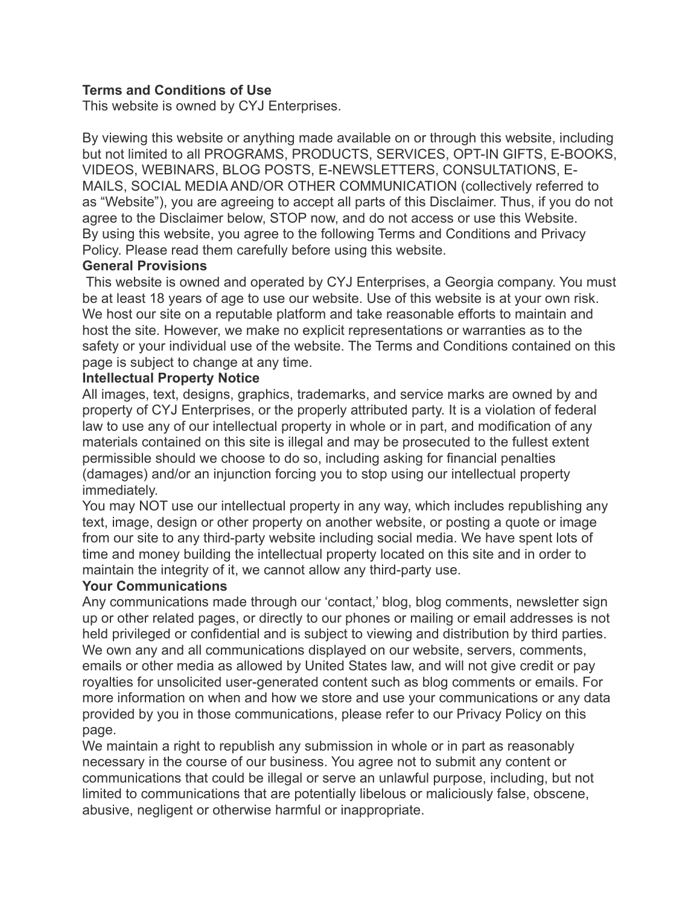#### **Terms and Conditions of Use**

This website is owned by CYJ Enterprises.

By viewing this website or anything made available on or through this website, including but not limited to all PROGRAMS, PRODUCTS, SERVICES, OPT-IN GIFTS, E-BOOKS, VIDEOS, WEBINARS, BLOG POSTS, E-NEWSLETTERS, CONSULTATIONS, E-MAILS, SOCIAL MEDIA AND/OR OTHER COMMUNICATION (collectively referred to as "Website"), you are agreeing to accept all parts of this Disclaimer. Thus, if you do not agree to the Disclaimer below, STOP now, and do not access or use this Website. By using this website, you agree to the following Terms and Conditions and Privacy Policy. Please read them carefully before using this website.

#### **General Provisions**

 This website is owned and operated by CYJ Enterprises, a Georgia company. You must be at least 18 years of age to use our website. Use of this website is at your own risk. We host our site on a reputable platform and take reasonable efforts to maintain and host the site. However, we make no explicit representations or warranties as to the safety or your individual use of the website. The Terms and Conditions contained on this page is subject to change at any time.

#### **Intellectual Property Notice**

All images, text, designs, graphics, trademarks, and service marks are owned by and property of CYJ Enterprises, or the properly attributed party. It is a violation of federal law to use any of our intellectual property in whole or in part, and modification of any materials contained on this site is illegal and may be prosecuted to the fullest extent permissible should we choose to do so, including asking for financial penalties (damages) and/or an injunction forcing you to stop using our intellectual property immediately.

You may NOT use our intellectual property in any way, which includes republishing any text, image, design or other property on another website, or posting a quote or image from our site to any third-party website including social media. We have spent lots of time and money building the intellectual property located on this site and in order to maintain the integrity of it, we cannot allow any third-party use.

#### **Your Communications**

Any communications made through our 'contact,' blog, blog comments, newsletter sign up or other related pages, or directly to our phones or mailing or email addresses is not held privileged or confidential and is subject to viewing and distribution by third parties. We own any and all communications displayed on our website, servers, comments, emails or other media as allowed by United States law, and will not give credit or pay royalties for unsolicited user-generated content such as blog comments or emails. For more information on when and how we store and use your communications or any data provided by you in those communications, please refer to our Privacy Policy on this page.

We maintain a right to republish any submission in whole or in part as reasonably necessary in the course of our business. You agree not to submit any content or communications that could be illegal or serve an unlawful purpose, including, but not limited to communications that are potentially libelous or maliciously false, obscene, abusive, negligent or otherwise harmful or inappropriate.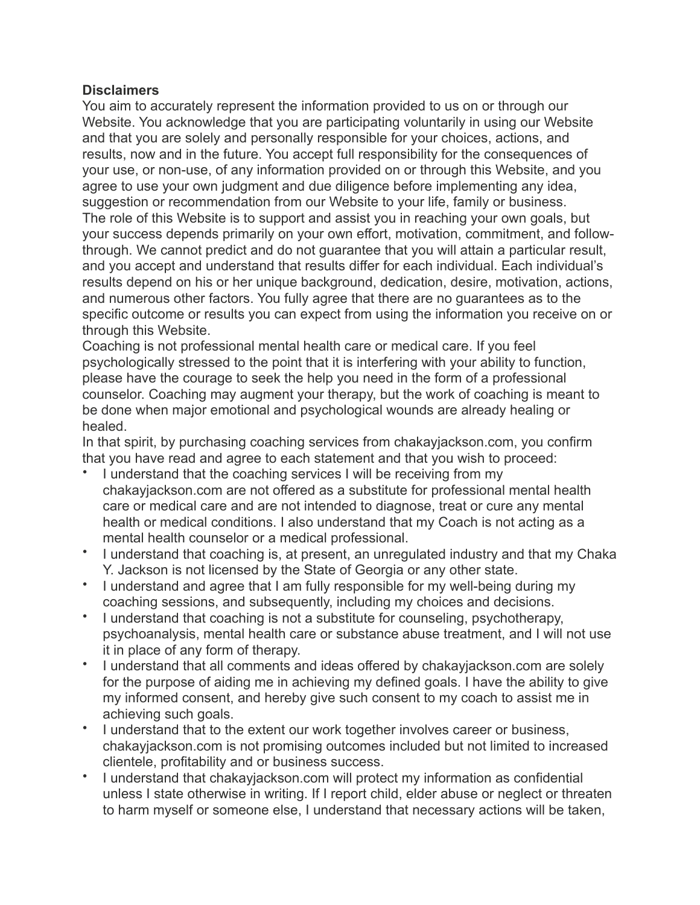## **Disclaimers**

You aim to accurately represent the information provided to us on or through our Website. You acknowledge that you are participating voluntarily in using our Website and that you are solely and personally responsible for your choices, actions, and results, now and in the future. You accept full responsibility for the consequences of your use, or non-use, of any information provided on or through this Website, and you agree to use your own judgment and due diligence before implementing any idea, suggestion or recommendation from our Website to your life, family or business. The role of this Website is to support and assist you in reaching your own goals, but your success depends primarily on your own effort, motivation, commitment, and followthrough. We cannot predict and do not guarantee that you will attain a particular result, and you accept and understand that results differ for each individual. Each individual's results depend on his or her unique background, dedication, desire, motivation, actions, and numerous other factors. You fully agree that there are no guarantees as to the specific outcome or results you can expect from using the information you receive on or through this Website.

Coaching is not professional mental health care or medical care. If you feel psychologically stressed to the point that it is interfering with your ability to function, please have the courage to seek the help you need in the form of a professional counselor. Coaching may augment your therapy, but the work of coaching is meant to be done when major emotional and psychological wounds are already healing or healed.

In that spirit, by purchasing coaching services from chakayjackson.com, you confirm that you have read and agree to each statement and that you wish to proceed:

- I understand that the coaching services I will be receiving from my chakayjackson.com are not offered as a substitute for professional mental health care or medical care and are not intended to diagnose, treat or cure any mental health or medical conditions. I also understand that my Coach is not acting as a mental health counselor or a medical professional.
- I understand that coaching is, at present, an unregulated industry and that my Chaka Y. Jackson is not licensed by the State of Georgia or any other state.
- I understand and agree that I am fully responsible for my well-being during my coaching sessions, and subsequently, including my choices and decisions.
- I understand that coaching is not a substitute for counseling, psychotherapy, psychoanalysis, mental health care or substance abuse treatment, and I will not use it in place of any form of therapy.
- I understand that all comments and ideas offered by chakayjackson.com are solely for the purpose of aiding me in achieving my defined goals. I have the ability to give my informed consent, and hereby give such consent to my coach to assist me in achieving such goals.
- I understand that to the extent our work together involves career or business, chakayjackson.com is not promising outcomes included but not limited to increased clientele, profitability and or business success.
- I understand that chakayjackson.com will protect my information as confidential unless I state otherwise in writing. If I report child, elder abuse or neglect or threaten to harm myself or someone else, I understand that necessary actions will be taken,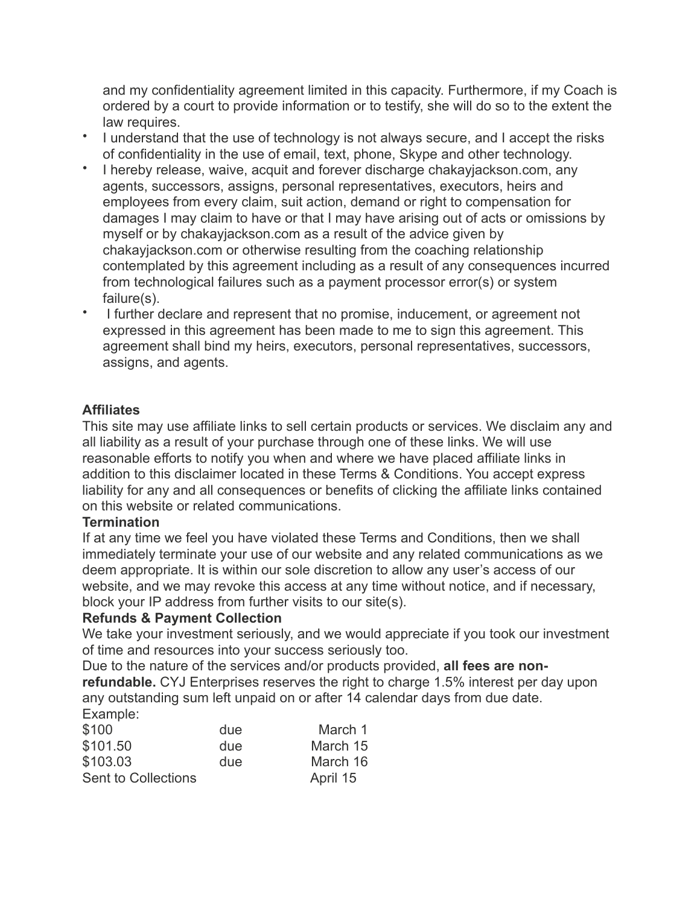and my confidentiality agreement limited in this capacity. Furthermore, if my Coach is ordered by a court to provide information or to testify, she will do so to the extent the law requires.

- I understand that the use of technology is not always secure, and I accept the risks of confidentiality in the use of email, text, phone, Skype and other technology.
- I hereby release, waive, acquit and forever discharge chakayjackson.com, any agents, successors, assigns, personal representatives, executors, heirs and employees from every claim, suit action, demand or right to compensation for damages I may claim to have or that I may have arising out of acts or omissions by myself or by chakayjackson.com as a result of the advice given by chakayjackson.com or otherwise resulting from the coaching relationship contemplated by this agreement including as a result of any consequences incurred from technological failures such as a payment processor error(s) or system failure(s).
- I further declare and represent that no promise, inducement, or agreement not expressed in this agreement has been made to me to sign this agreement. This agreement shall bind my heirs, executors, personal representatives, successors, assigns, and agents.

## **Affiliates**

This site may use affiliate links to sell certain products or services. We disclaim any and all liability as a result of your purchase through one of these links. We will use reasonable efforts to notify you when and where we have placed affiliate links in addition to this disclaimer located in these Terms & Conditions. You accept express liability for any and all consequences or benefits of clicking the affiliate links contained on this website or related communications.

## **Termination**

If at any time we feel you have violated these Terms and Conditions, then we shall immediately terminate your use of our website and any related communications as we deem appropriate. It is within our sole discretion to allow any user's access of our website, and we may revoke this access at any time without notice, and if necessary, block your IP address from further visits to our site(s).

## **Refunds & Payment Collection**

We take your investment seriously, and we would appreciate if you took our investment of time and resources into your success seriously too.

Due to the nature of the services and/or products provided, **all fees are nonrefundable.** CYJ Enterprises reserves the right to charge 1.5% interest per day upon any outstanding sum left unpaid on or after 14 calendar days from due date. Example:

| \$100               | due | March 1  |
|---------------------|-----|----------|
| \$101.50            | due | March 15 |
| \$103.03            | due | March 16 |
| Sent to Collections |     | April 15 |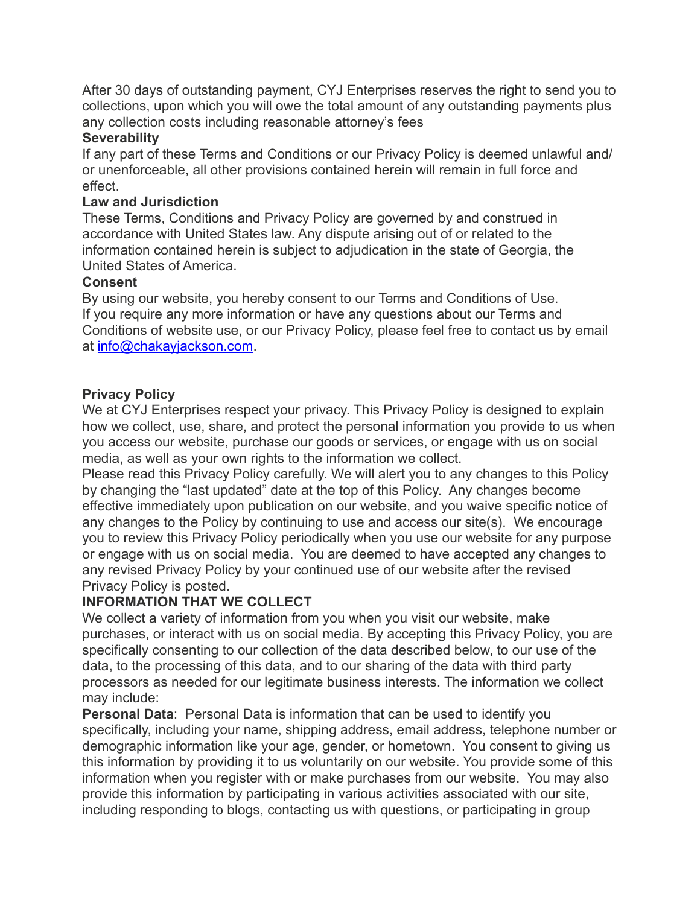After 30 days of outstanding payment, CYJ Enterprises reserves the right to send you to collections, upon which you will owe the total amount of any outstanding payments plus any collection costs including reasonable attorney's fees

### **Severability**

If any part of these Terms and Conditions or our Privacy Policy is deemed unlawful and/ or unenforceable, all other provisions contained herein will remain in full force and effect.

### **Law and Jurisdiction**

These Terms, Conditions and Privacy Policy are governed by and construed in accordance with United States law. Any dispute arising out of or related to the information contained herein is subject to adjudication in the state of Georgia, the United States of America.

## **Consent**

By using our website, you hereby consent to our Terms and Conditions of Use. If you require any more information or have any questions about our Terms and Conditions of website use, or our Privacy Policy, please feel free to contact us by email at [info@chakayjackson.com.](mailto:info@chakayjackson.com)

## **Privacy Policy**

We at CYJ Enterprises respect your privacy. This Privacy Policy is designed to explain how we collect, use, share, and protect the personal information you provide to us when you access our website, purchase our goods or services, or engage with us on social media, as well as your own rights to the information we collect.

Please read this Privacy Policy carefully. We will alert you to any changes to this Policy by changing the "last updated" date at the top of this Policy. Any changes become effective immediately upon publication on our website, and you waive specific notice of any changes to the Policy by continuing to use and access our site(s). We encourage you to review this Privacy Policy periodically when you use our website for any purpose or engage with us on social media. You are deemed to have accepted any changes to any revised Privacy Policy by your continued use of our website after the revised Privacy Policy is posted.

## **INFORMATION THAT WE COLLECT**

We collect a variety of information from you when you visit our website, make purchases, or interact with us on social media. By accepting this Privacy Policy, you are specifically consenting to our collection of the data described below, to our use of the data, to the processing of this data, and to our sharing of the data with third party processors as needed for our legitimate business interests. The information we collect may include:

**Personal Data**: Personal Data is information that can be used to identify you specifically, including your name, shipping address, email address, telephone number or demographic information like your age, gender, or hometown. You consent to giving us this information by providing it to us voluntarily on our website. You provide some of this information when you register with or make purchases from our website. You may also provide this information by participating in various activities associated with our site, including responding to blogs, contacting us with questions, or participating in group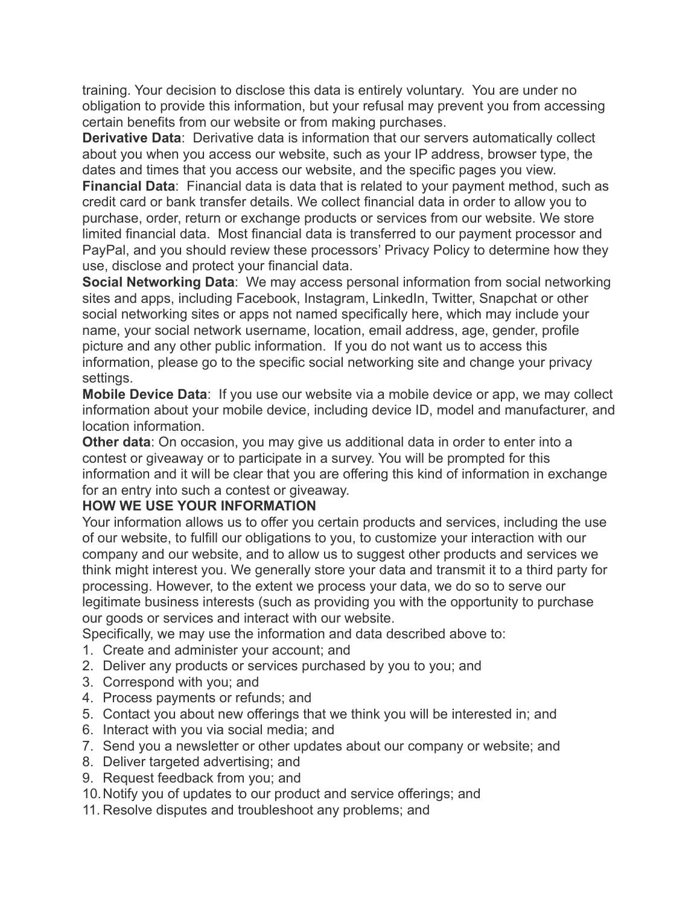training. Your decision to disclose this data is entirely voluntary. You are under no obligation to provide this information, but your refusal may prevent you from accessing certain benefits from our website or from making purchases.

**Derivative Data**: Derivative data is information that our servers automatically collect about you when you access our website, such as your IP address, browser type, the dates and times that you access our website, and the specific pages you view.

**Financial Data**: Financial data is data that is related to your payment method, such as credit card or bank transfer details. We collect financial data in order to allow you to purchase, order, return or exchange products or services from our website. We store limited financial data. Most financial data is transferred to our payment processor and PayPal, and you should review these processors' Privacy Policy to determine how they use, disclose and protect your financial data.

**Social Networking Data**: We may access personal information from social networking sites and apps, including Facebook, Instagram, LinkedIn, Twitter, Snapchat or other social networking sites or apps not named specifically here, which may include your name, your social network username, location, email address, age, gender, profile picture and any other public information. If you do not want us to access this information, please go to the specific social networking site and change your privacy settings.

**Mobile Device Data**: If you use our website via a mobile device or app, we may collect information about your mobile device, including device ID, model and manufacturer, and location information.

**Other data**: On occasion, you may give us additional data in order to enter into a contest or giveaway or to participate in a survey. You will be prompted for this information and it will be clear that you are offering this kind of information in exchange for an entry into such a contest or giveaway.

## **HOW WE USE YOUR INFORMATION**

Your information allows us to offer you certain products and services, including the use of our website, to fulfill our obligations to you, to customize your interaction with our company and our website, and to allow us to suggest other products and services we think might interest you. We generally store your data and transmit it to a third party for processing. However, to the extent we process your data, we do so to serve our legitimate business interests (such as providing you with the opportunity to purchase our goods or services and interact with our website.

Specifically, we may use the information and data described above to:

- 1. Create and administer your account; and
- 2. Deliver any products or services purchased by you to you; and
- 3. Correspond with you; and
- 4. Process payments or refunds; and
- 5. Contact you about new offerings that we think you will be interested in; and
- 6. Interact with you via social media; and
- 7. Send you a newsletter or other updates about our company or website; and
- 8. Deliver targeted advertising; and
- 9. Request feedback from you; and
- 10.Notify you of updates to our product and service offerings; and
- 11. Resolve disputes and troubleshoot any problems; and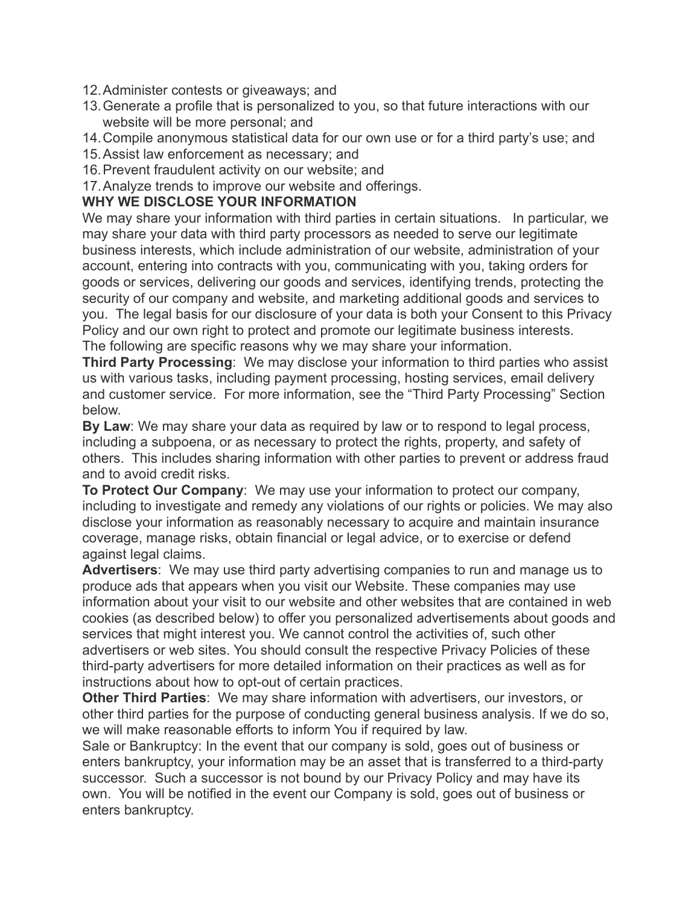- 12.Administer contests or giveaways; and
- 13.Generate a profile that is personalized to you, so that future interactions with our website will be more personal; and
- 14.Compile anonymous statistical data for our own use or for a third party's use; and
- 15.Assist law enforcement as necessary; and
- 16.Prevent fraudulent activity on our website; and
- 17.Analyze trends to improve our website and offerings.

## **WHY WE DISCLOSE YOUR INFORMATION**

We may share your information with third parties in certain situations. In particular, we may share your data with third party processors as needed to serve our legitimate business interests, which include administration of our website, administration of your account, entering into contracts with you, communicating with you, taking orders for goods or services, delivering our goods and services, identifying trends, protecting the security of our company and website, and marketing additional goods and services to you. The legal basis for our disclosure of your data is both your Consent to this Privacy Policy and our own right to protect and promote our legitimate business interests. The following are specific reasons why we may share your information.

**Third Party Processing**: We may disclose your information to third parties who assist us with various tasks, including payment processing, hosting services, email delivery and customer service. For more information, see the "Third Party Processing" Section below.

**By Law**: We may share your data as required by law or to respond to legal process, including a subpoena, or as necessary to protect the rights, property, and safety of others. This includes sharing information with other parties to prevent or address fraud and to avoid credit risks.

**To Protect Our Company**: We may use your information to protect our company, including to investigate and remedy any violations of our rights or policies. We may also disclose your information as reasonably necessary to acquire and maintain insurance coverage, manage risks, obtain financial or legal advice, or to exercise or defend against legal claims.

**Advertisers**: We may use third party advertising companies to run and manage us to produce ads that appears when you visit our Website. These companies may use information about your visit to our website and other websites that are contained in web cookies (as described below) to offer you personalized advertisements about goods and services that might interest you. We cannot control the activities of, such other advertisers or web sites. You should consult the respective Privacy Policies of these third-party advertisers for more detailed information on their practices as well as for instructions about how to opt-out of certain practices.

**Other Third Parties**: We may share information with advertisers, our investors, or other third parties for the purpose of conducting general business analysis. If we do so, we will make reasonable efforts to inform You if required by law.

Sale or Bankruptcy: In the event that our company is sold, goes out of business or enters bankruptcy, your information may be an asset that is transferred to a third-party successor. Such a successor is not bound by our Privacy Policy and may have its own. You will be notified in the event our Company is sold, goes out of business or enters bankruptcy.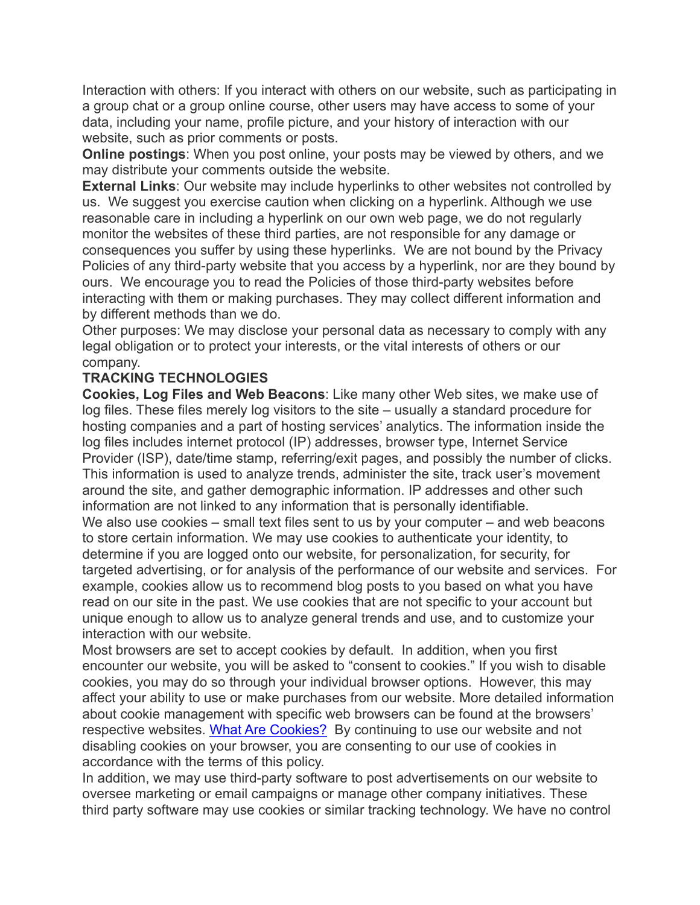Interaction with others: If you interact with others on our website, such as participating in a group chat or a group online course, other users may have access to some of your data, including your name, profile picture, and your history of interaction with our website, such as prior comments or posts.

**Online postings**: When you post online, your posts may be viewed by others, and we may distribute your comments outside the website.

**External Links**: Our website may include hyperlinks to other websites not controlled by us. We suggest you exercise caution when clicking on a hyperlink. Although we use reasonable care in including a hyperlink on our own web page, we do not regularly monitor the websites of these third parties, are not responsible for any damage or consequences you suffer by using these hyperlinks. We are not bound by the Privacy Policies of any third-party website that you access by a hyperlink, nor are they bound by ours. We encourage you to read the Policies of those third-party websites before interacting with them or making purchases. They may collect different information and by different methods than we do.

Other purposes: We may disclose your personal data as necessary to comply with any legal obligation or to protect your interests, or the vital interests of others or our company.

## **TRACKING TECHNOLOGIES**

**Cookies, Log Files and Web Beacons**: Like many other Web sites, we make use of log files. These files merely log visitors to the site – usually a standard procedure for hosting companies and a part of hosting services' analytics. The information inside the log files includes internet protocol (IP) addresses, browser type, Internet Service Provider (ISP), date/time stamp, referring/exit pages, and possibly the number of clicks. This information is used to analyze trends, administer the site, track user's movement around the site, and gather demographic information. IP addresses and other such information are not linked to any information that is personally identifiable. We also use cookies – small text files sent to us by your computer – and web beacons to store certain information. We may use cookies to authenticate your identity, to determine if you are logged onto our website, for personalization, for security, for targeted advertising, or for analysis of the performance of our website and services. For example, cookies allow us to recommend blog posts to you based on what you have read on our site in the past. We use cookies that are not specific to your account but unique enough to allow us to analyze general trends and use, and to customize your interaction with our website.

Most browsers are set to accept cookies by default. In addition, when you first encounter our website, you will be asked to "consent to cookies." If you wish to disable cookies, you may do so through your individual browser options. However, this may affect your ability to use or make purchases from our website. More detailed information about cookie management with specific web browsers can be found at the browsers' respective websites. [What Are Cookies?](http://www.whatarecookies.com/) By continuing to use our website and not disabling cookies on your browser, you are consenting to our use of cookies in accordance with the terms of this policy.

In addition, we may use third-party software to post advertisements on our website to oversee marketing or email campaigns or manage other company initiatives. These third party software may use cookies or similar tracking technology. We have no control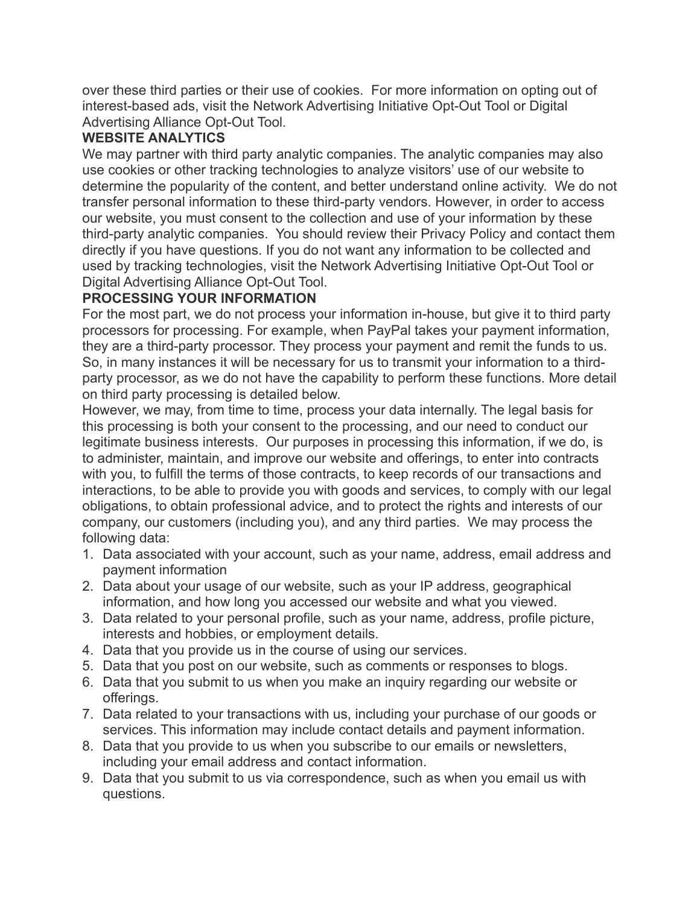over these third parties or their use of cookies. For more information on opting out of interest-based ads, visit the Network Advertising Initiative Opt-Out Tool or Digital Advertising Alliance Opt-Out Tool.

## **WEBSITE ANALYTICS**

We may partner with third party analytic companies. The analytic companies may also use cookies or other tracking technologies to analyze visitors' use of our website to determine the popularity of the content, and better understand online activity. We do not transfer personal information to these third-party vendors. However, in order to access our website, you must consent to the collection and use of your information by these third-party analytic companies. You should review their Privacy Policy and contact them directly if you have questions. If you do not want any information to be collected and used by tracking technologies, visit the Network Advertising Initiative Opt-Out Tool or Digital Advertising Alliance Opt-Out Tool.

## **PROCESSING YOUR INFORMATION**

For the most part, we do not process your information in-house, but give it to third party processors for processing. For example, when PayPal takes your payment information, they are a third-party processor. They process your payment and remit the funds to us. So, in many instances it will be necessary for us to transmit your information to a thirdparty processor, as we do not have the capability to perform these functions. More detail on third party processing is detailed below.

However, we may, from time to time, process your data internally. The legal basis for this processing is both your consent to the processing, and our need to conduct our legitimate business interests. Our purposes in processing this information, if we do, is to administer, maintain, and improve our website and offerings, to enter into contracts with you, to fulfill the terms of those contracts, to keep records of our transactions and interactions, to be able to provide you with goods and services, to comply with our legal obligations, to obtain professional advice, and to protect the rights and interests of our company, our customers (including you), and any third parties. We may process the following data:

- 1. Data associated with your account, such as your name, address, email address and payment information
- 2. Data about your usage of our website, such as your IP address, geographical information, and how long you accessed our website and what you viewed.
- 3. Data related to your personal profile, such as your name, address, profile picture, interests and hobbies, or employment details.
- 4. Data that you provide us in the course of using our services.
- 5. Data that you post on our website, such as comments or responses to blogs.
- 6. Data that you submit to us when you make an inquiry regarding our website or offerings.
- 7. Data related to your transactions with us, including your purchase of our goods or services. This information may include contact details and payment information.
- 8. Data that you provide to us when you subscribe to our emails or newsletters, including your email address and contact information.
- 9. Data that you submit to us via correspondence, such as when you email us with questions.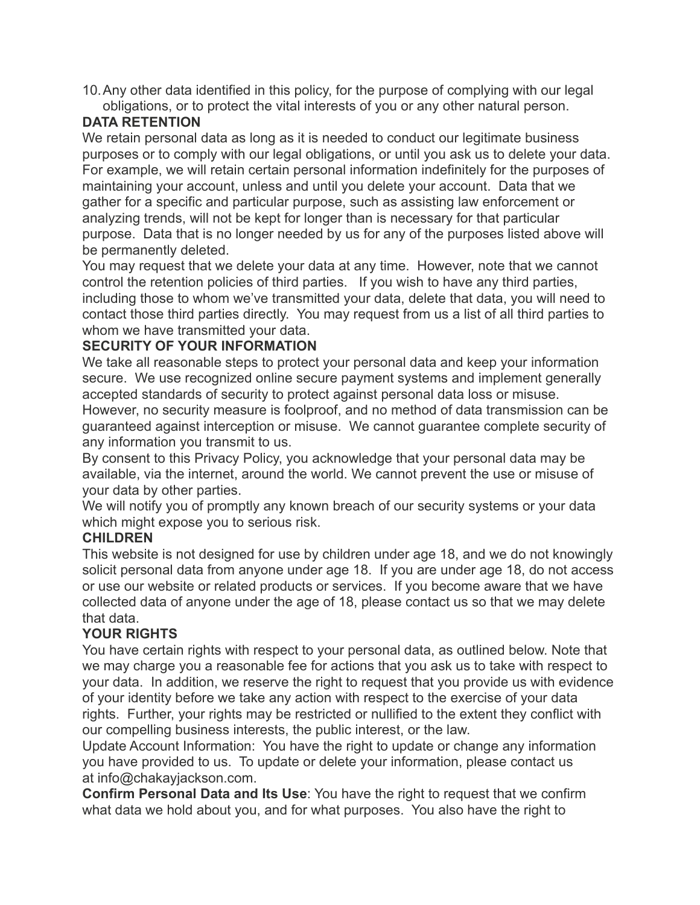10.Any other data identified in this policy, for the purpose of complying with our legal obligations, or to protect the vital interests of you or any other natural person.

## **DATA RETENTION**

We retain personal data as long as it is needed to conduct our legitimate business purposes or to comply with our legal obligations, or until you ask us to delete your data. For example, we will retain certain personal information indefinitely for the purposes of maintaining your account, unless and until you delete your account. Data that we gather for a specific and particular purpose, such as assisting law enforcement or analyzing trends, will not be kept for longer than is necessary for that particular purpose. Data that is no longer needed by us for any of the purposes listed above will be permanently deleted.

You may request that we delete your data at any time. However, note that we cannot control the retention policies of third parties. If you wish to have any third parties, including those to whom we've transmitted your data, delete that data, you will need to contact those third parties directly. You may request from us a list of all third parties to whom we have transmitted your data.

# **SECURITY OF YOUR INFORMATION**

We take all reasonable steps to protect your personal data and keep your information secure. We use recognized online secure payment systems and implement generally accepted standards of security to protect against personal data loss or misuse. However, no security measure is foolproof, and no method of data transmission can be

guaranteed against interception or misuse. We cannot guarantee complete security of any information you transmit to us.

By consent to this Privacy Policy, you acknowledge that your personal data may be available, via the internet, around the world. We cannot prevent the use or misuse of your data by other parties.

We will notify you of promptly any known breach of our security systems or your data which might expose you to serious risk.

# **CHILDREN**

This website is not designed for use by children under age 18, and we do not knowingly solicit personal data from anyone under age 18. If you are under age 18, do not access or use our website or related products or services. If you become aware that we have collected data of anyone under the age of 18, please contact us so that we may delete that data.

# **YOUR RIGHTS**

You have certain rights with respect to your personal data, as outlined below. Note that we may charge you a reasonable fee for actions that you ask us to take with respect to your data. In addition, we reserve the right to request that you provide us with evidence of your identity before we take any action with respect to the exercise of your data rights. Further, your rights may be restricted or nullified to the extent they conflict with our compelling business interests, the public interest, or the law.

Update Account Information: You have the right to update or change any information you have provided to us. To update or delete your information, please contact us at info@chakayjackson.com.

**Confirm Personal Data and Its Use**: You have the right to request that we confirm what data we hold about you, and for what purposes. You also have the right to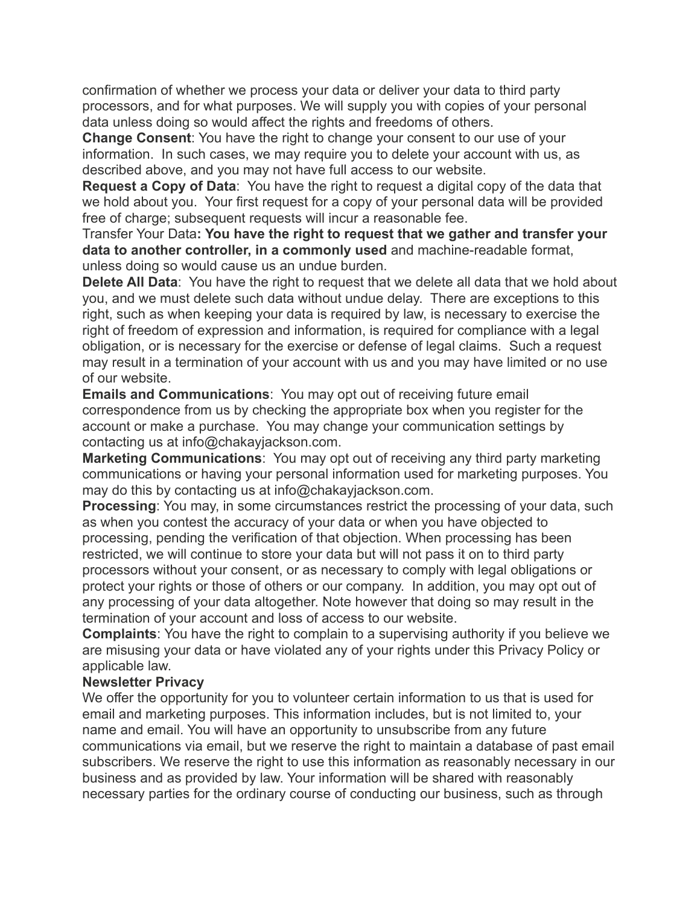confirmation of whether we process your data or deliver your data to third party processors, and for what purposes. We will supply you with copies of your personal data unless doing so would affect the rights and freedoms of others.

**Change Consent**: You have the right to change your consent to our use of your information. In such cases, we may require you to delete your account with us, as described above, and you may not have full access to our website.

**Request a Copy of Data**: You have the right to request a digital copy of the data that we hold about you. Your first request for a copy of your personal data will be provided free of charge; subsequent requests will incur a reasonable fee.

Transfer Your Data**: You have the right to request that we gather and transfer your data to another controller, in a commonly used** and machine-readable format, unless doing so would cause us an undue burden.

**Delete All Data**: You have the right to request that we delete all data that we hold about you, and we must delete such data without undue delay. There are exceptions to this right, such as when keeping your data is required by law, is necessary to exercise the right of freedom of expression and information, is required for compliance with a legal obligation, or is necessary for the exercise or defense of legal claims. Such a request may result in a termination of your account with us and you may have limited or no use of our website.

**Emails and Communications**: You may opt out of receiving future email correspondence from us by checking the appropriate box when you register for the account or make a purchase. You may change your communication settings by contacting us at info@chakayjackson.com.

**Marketing Communications**: You may opt out of receiving any third party marketing communications or having your personal information used for marketing purposes. You may do this by contacting us at info@chakayjackson.com.

**Processing:** You may, in some circumstances restrict the processing of your data, such as when you contest the accuracy of your data or when you have objected to processing, pending the verification of that objection. When processing has been restricted, we will continue to store your data but will not pass it on to third party processors without your consent, or as necessary to comply with legal obligations or protect your rights or those of others or our company. In addition, you may opt out of any processing of your data altogether. Note however that doing so may result in the termination of your account and loss of access to our website.

**Complaints**: You have the right to complain to a supervising authority if you believe we are misusing your data or have violated any of your rights under this Privacy Policy or applicable law.

#### **Newsletter Privacy**

We offer the opportunity for you to volunteer certain information to us that is used for email and marketing purposes. This information includes, but is not limited to, your name and email. You will have an opportunity to unsubscribe from any future communications via email, but we reserve the right to maintain a database of past email subscribers. We reserve the right to use this information as reasonably necessary in our business and as provided by law. Your information will be shared with reasonably necessary parties for the ordinary course of conducting our business, such as through